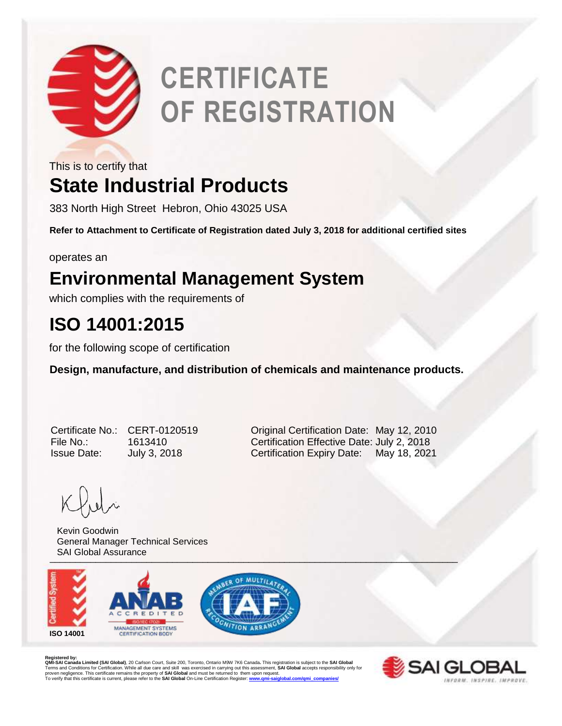

# **CERTIFICATE OF REGISTRATION**

This is to certify that

# **State Industrial Products**

383 North High Street Hebron, Ohio 43025 USA

**Refer to Attachment to Certificate of Registration dated July 3, 2018 for additional certified sites**

operates an

### **Environmental Management System**

which complies with the requirements of

## **ISO 14001:2015**

for the following scope of certification

**Design, manufacture, and distribution of chemicals and maintenance products.** 

| Certificate No     |
|--------------------|
| File No.:          |
| <b>Issue Date:</b> |

o.: CERT-0120519 **Contained Certification Date: May 12, 2010** File No.: 1613410 Certification Effective Date: July 2, 2018 July 3, 2018 **Certification Expiry Date:** May 18, 2021

\_\_\_\_\_\_\_\_\_\_\_\_\_\_\_\_\_\_\_\_\_\_\_\_\_\_\_\_\_\_\_\_\_\_\_\_\_\_\_\_\_\_\_\_\_\_\_\_\_\_\_\_\_\_\_\_\_\_\_\_\_\_\_\_\_\_\_\_\_\_\_\_\_\_\_\_\_\_\_\_ Kevin Goodwin General Manager Technical Services SAI Global Assurance



**Registered by:**<br>QMI-SAI Canada Limited (SAI Global), 20 Carlson Court, Suite 200, Toronto, Ontario M9W 7K6 Canada. This registration is subject to the SAI Global<br>Terms and Conditions for Certification. While all due care